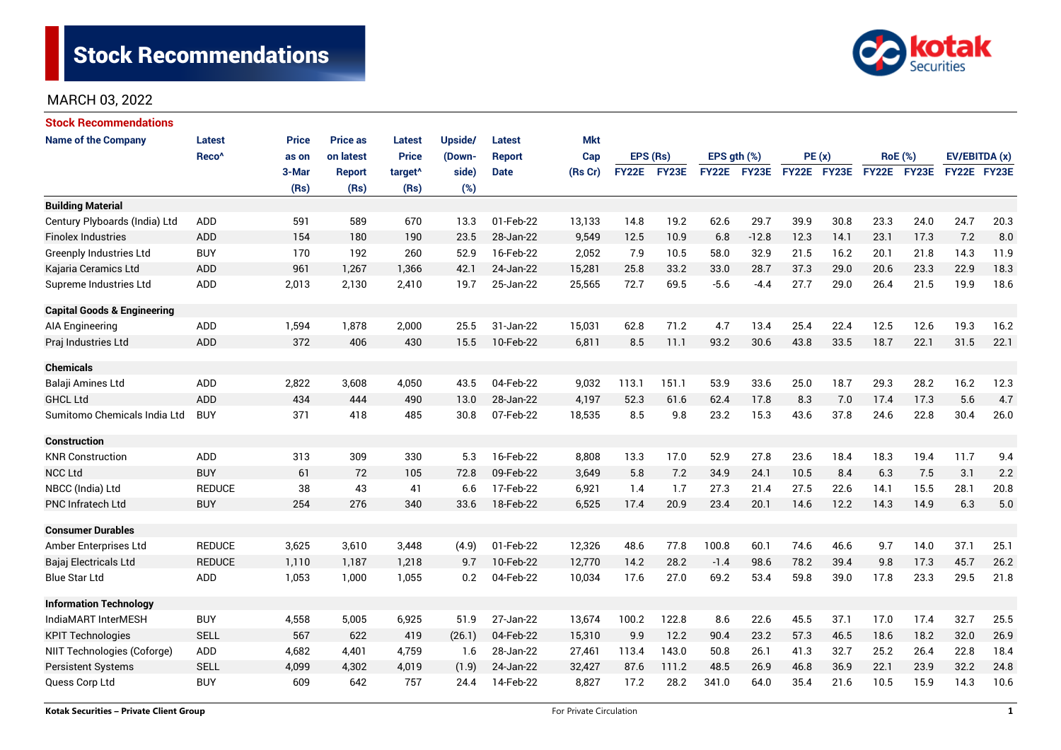

| <b>Stock Recommendations</b>           |                   |              |                 |                     |         |               |            |          |       |                  |         |             |      |                |              |               |      |
|----------------------------------------|-------------------|--------------|-----------------|---------------------|---------|---------------|------------|----------|-------|------------------|---------|-------------|------|----------------|--------------|---------------|------|
| <b>Name of the Company</b>             | <b>Latest</b>     | <b>Price</b> | <b>Price as</b> | <b>Latest</b>       | Upside/ | Latest        | <b>Mkt</b> |          |       |                  |         |             |      |                |              |               |      |
|                                        | Reco <sup>^</sup> | as on        | on latest       | <b>Price</b>        | (Down-  | <b>Report</b> | Cap        | EPS (Rs) |       | EPS $gth$ $(\%)$ |         | PE(x)       |      | <b>RoE</b> (%) |              | EV/EBITDA (x) |      |
|                                        |                   | 3-Mar        | <b>Report</b>   | target <sup>^</sup> | side)   | <b>Date</b>   | (Rs Cr)    | FY22E    | FY23E | FY22E FY23E      |         | FY22E FY23E |      |                | FY22E FY23E  | FY22E FY23E   |      |
|                                        |                   | (Rs)         | (Rs)            | (Rs)                | (%)     |               |            |          |       |                  |         |             |      |                |              |               |      |
| <b>Building Material</b>               |                   |              |                 |                     |         |               |            |          |       |                  |         |             |      |                |              |               |      |
| Century Plyboards (India) Ltd          | ADD               | 591          | 589             | 670                 | 13.3    | 01-Feb-22     | 13,133     | 14.8     | 19.2  | 62.6             | 29.7    | 39.9        | 30.8 | 23.3           | 24.0         | 24.7          | 20.3 |
| <b>Finolex Industries</b>              | <b>ADD</b>        | 154          | 180             | 190                 | 23.5    | 28-Jan-22     | 9,549      | 12.5     | 10.9  | 6.8              | $-12.8$ | 12.3        | 14.1 | 23.1           | 17.3         | 7.2           | 8.0  |
| Greenply Industries Ltd                | <b>BUY</b>        | 170          | 192             | 260                 | 52.9    | 16-Feb-22     | 2,052      | 7.9      | 10.5  | 58.0             | 32.9    | 21.5        | 16.2 | 20.1           | 21.8         | 14.3          | 11.9 |
| Kajaria Ceramics Ltd                   | <b>ADD</b>        | 961          | 1,267           | 1,366               | 42.1    | 24-Jan-22     | 15,281     | 25.8     | 33.2  | 33.0             | 28.7    | 37.3        | 29.0 | 20.6           | 23.3         | 22.9          | 18.3 |
| Supreme Industries Ltd                 | ADD               | 2,013        | 2,130           | 2,410               | 19.7    | 25-Jan-22     | 25,565     | 72.7     | 69.5  | $-5.6$           | $-4.4$  | 27.7        | 29.0 | 26.4           | 21.5         | 19.9          | 18.6 |
| <b>Capital Goods &amp; Engineering</b> |                   |              |                 |                     |         |               |            |          |       |                  |         |             |      |                |              |               |      |
| AIA Engineering                        | ADD               | 1,594        | 1,878           | 2,000               | 25.5    | 31-Jan-22     | 15,031     | 62.8     | 71.2  | 4.7              | 13.4    | 25.4        | 22.4 | 12.5           | 12.6         | 19.3          | 16.2 |
| Praj Industries Ltd                    | <b>ADD</b>        | 372          | 406             | 430                 | 15.5    | 10-Feb-22     | 6,811      | 8.5      | 11.1  | 93.2             | 30.6    | 43.8        | 33.5 | 18.7           | 22.1         | 31.5          | 22.1 |
| <b>Chemicals</b>                       |                   |              |                 |                     |         |               |            |          |       |                  |         |             |      |                |              |               |      |
| Balaji Amines Ltd                      | <b>ADD</b>        | 2,822        | 3,608           | 4,050               | 43.5    | 04-Feb-22     | 9,032      | 113.1    | 151.1 | 53.9             | 33.6    | 25.0        | 18.7 | 29.3           | 28.2         | 16.2          | 12.3 |
| <b>GHCL Ltd</b>                        | ADD               | 434          | 444             | 490                 | 13.0    | 28-Jan-22     | 4,197      | 52.3     | 61.6  | 62.4             | 17.8    | 8.3         | 7.0  | 17.4           | 17.3         | 5.6           | 4.7  |
| Sumitomo Chemicals India Ltd           | <b>BUY</b>        | 371          | 418             | 485                 | 30.8    | 07-Feb-22     | 18,535     | 8.5      | 9.8   | 23.2             | 15.3    | 43.6        | 37.8 | 24.6           | 22.8         | 30.4          | 26.0 |
| <b>Construction</b>                    |                   |              |                 |                     |         |               |            |          |       |                  |         |             |      |                |              |               |      |
| <b>KNR Construction</b>                | ADD               | 313          | 309             | 330                 | 5.3     | 16-Feb-22     | 8,808      | 13.3     | 17.0  | 52.9             | 27.8    | 23.6        | 18.4 | 18.3           | 19.4         | 11.7          | 9.4  |
| <b>NCC Ltd</b>                         | <b>BUY</b>        | 61           | 72              | 105                 | 72.8    | 09-Feb-22     | 3.649      | 5.8      | 7.2   | 34.9             | 24.1    | 10.5        | 8.4  | 6.3            | 7.5          | 3.1           | 2.2  |
| NBCC (India) Ltd                       | <b>REDUCE</b>     | 38           | 43              | 41                  | 6.6     | 17-Feb-22     | 6,921      | 1.4      | 1.7   | 27.3             | 21.4    | 27.5        | 22.6 | 14.1           | 15.5         | 28.1          | 20.8 |
| <b>PNC Infratech Ltd</b>               | <b>BUY</b>        | 254          | 276             | 340                 | 33.6    | 18-Feb-22     | 6,525      | 17.4     | 20.9  | 23.4             | 20.1    | 14.6        | 12.2 | 14.3           | 14.9         | 6.3           | 5.0  |
| <b>Consumer Durables</b>               |                   |              |                 |                     |         |               |            |          |       |                  |         |             |      |                |              |               |      |
| Amber Enterprises Ltd                  | <b>REDUCE</b>     | 3,625        | 3,610           | 3,448               | (4.9)   | 01-Feb-22     | 12,326     | 48.6     | 77.8  | 100.8            | 60.1    | 74.6        | 46.6 | 9.7            | 14.0         | 37.1          | 25.1 |
| Bajaj Electricals Ltd                  | <b>REDUCE</b>     | 1,110        | 1,187           | 1,218               | 9.7     | 10-Feb-22     | 12,770     | 14.2     | 28.2  | $-1.4$           | 98.6    | 78.2        | 39.4 | 9.8            | 17.3         | 45.7          | 26.2 |
| Blue Star Ltd                          | <b>ADD</b>        | 1,053        | 1,000           | 1,055               | 0.2     | 04-Feb-22     | 10,034     | 17.6     | 27.0  | 69.2             | 53.4    | 59.8        | 39.0 | 17.8           | 23.3         | 29.5          | 21.8 |
| <b>Information Technology</b>          |                   |              |                 |                     |         |               |            |          |       |                  |         |             |      |                |              |               |      |
| IndiaMART InterMESH                    | <b>BUY</b>        | 4,558        | 5,005           | 6,925               | 51.9    | 27-Jan-22     | 13,674     | 100.2    | 122.8 | 8.6              | 22.6    | 45.5        | 37.1 | 17.0           | 17.4         | 32.7          | 25.5 |
| <b>KPIT Technologies</b>               | <b>SELL</b>       | 567          | 622             | 419                 | (26.1)  | 04-Feb-22     | 15,310     | 9.9      | 12.2  | 90.4             | 23.2    | 57.3        | 46.5 | 18.6           | 18.2         | 32.0<br>26.9  |      |
| NIIT Technologies (Coforge)            | ADD               | 4,682        | 4,401           | 4,759               | 1.6     | 28-Jan-22     | 27,461     | 113.4    | 143.0 | 50.8             | 26.1    | 41.3        | 32.7 | 25.2           | 26.4<br>22.8 |               | 18.4 |
| <b>Persistent Systems</b>              | <b>SELL</b>       | 4,099        | 4,302           | 4,019               | (1.9)   | 24-Jan-22     | 32,427     | 87.6     | 111.2 | 48.5             | 26.9    | 46.8        | 36.9 | 22.1           | 23.9         | 32.2          | 24.8 |
| Quess Corp Ltd                         | <b>BUY</b>        | 609          | 642             | 757                 | 24.4    | 14-Feb-22     | 8,827      | 17.2     | 28.2  | 341.0            | 64.0    | 35.4        | 21.6 | 10.5           | 15.9         | 14.3          | 10.6 |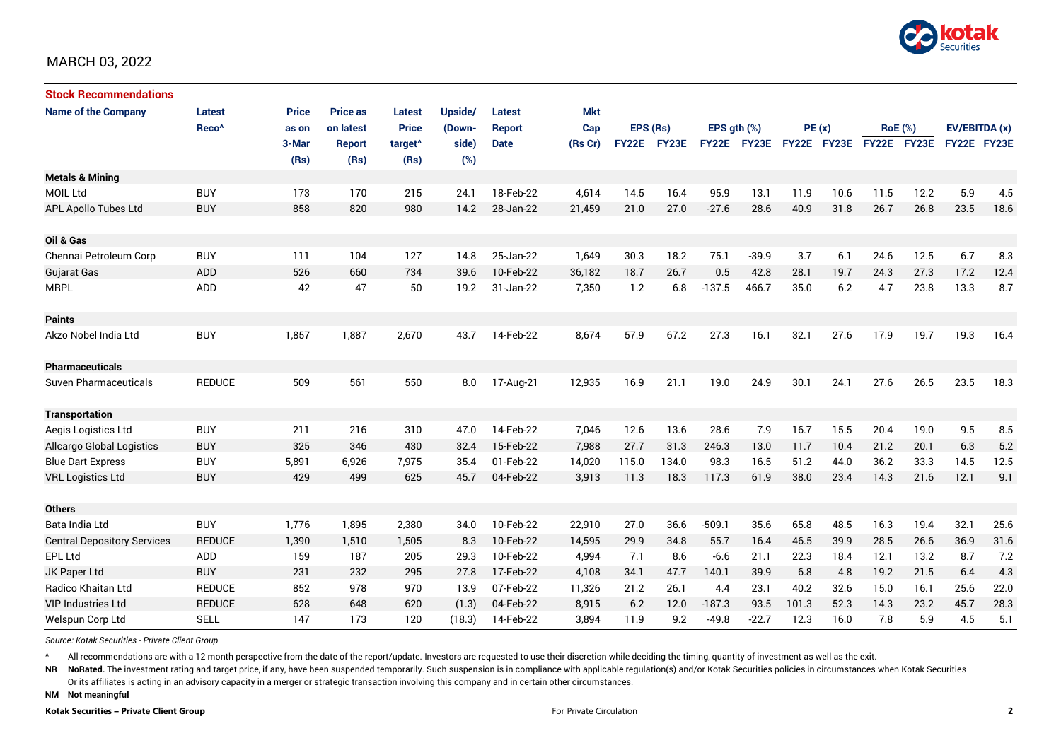

| <b>Stock Recommendations</b>       |                   |              |                 |                     |         |               |            |              |       |                  |             |             |      |                |      |               |      |
|------------------------------------|-------------------|--------------|-----------------|---------------------|---------|---------------|------------|--------------|-------|------------------|-------------|-------------|------|----------------|------|---------------|------|
| <b>Name of the Company</b>         | <b>Latest</b>     | <b>Price</b> | <b>Price as</b> | <b>Latest</b>       | Upside/ | Latest        | <b>Mkt</b> |              |       |                  |             |             |      |                |      |               |      |
|                                    | Reco <sup>^</sup> | as on        | on latest       | <b>Price</b>        | (Down-  | <b>Report</b> | Cap        | EPS (Rs)     |       | EPS $qth$ $(\%)$ |             | PE(x)       |      | <b>RoE</b> (%) |      | EV/EBITDA (x) |      |
|                                    |                   | 3-Mar        | <b>Report</b>   | target <sup>^</sup> | side)   | <b>Date</b>   | (Rs Cr)    | <b>FY22E</b> | FY23E |                  | FY22E FY23E | FY22E FY23E |      | FY22E FY23E    |      | FY22E FY23E   |      |
|                                    |                   | (Rs)         | (Rs)            | (Rs)                | (%)     |               |            |              |       |                  |             |             |      |                |      |               |      |
| <b>Metals &amp; Mining</b>         |                   |              |                 |                     |         |               |            |              |       |                  |             |             |      |                |      |               |      |
| <b>MOIL Ltd</b>                    | <b>BUY</b>        | 173          | 170             | 215                 | 24.1    | 18-Feb-22     | 4,614      | 14.5         | 16.4  | 95.9             | 13.1        | 11.9        | 10.6 | 11.5           | 12.2 | 5.9           | 4.5  |
| <b>APL Apollo Tubes Ltd</b>        | <b>BUY</b>        | 858          | 820             | 980                 | 14.2    | 28-Jan-22     | 21,459     | 21.0         | 27.0  | $-27.6$          | 28.6        | 40.9        | 31.8 | 26.7           | 26.8 | 23.5          | 18.6 |
|                                    |                   |              |                 |                     |         |               |            |              |       |                  |             |             |      |                |      |               |      |
| Oil & Gas                          |                   |              |                 |                     |         |               |            |              |       |                  |             |             |      |                |      |               |      |
| Chennai Petroleum Corp             | <b>BUY</b>        | 111          | 104             | 127                 | 14.8    | 25-Jan-22     | 1,649      | 30.3         | 18.2  | 75.1             | $-39.9$     | 3.7         | 6.1  | 24.6           | 12.5 | 6.7           | 8.3  |
| <b>Gujarat Gas</b>                 | ADD               | 526          | 660             | 734                 | 39.6    | 10-Feb-22     | 36,182     | 18.7         | 26.7  | 0.5              | 42.8        | 28.1        | 19.7 | 24.3           | 27.3 | 17.2          | 12.4 |
| <b>MRPL</b>                        | ADD               | 42           | 47              | 50                  | 19.2    | 31-Jan-22     | 7,350      | 1.2          | 6.8   | $-137.5$         | 466.7       | 35.0        | 6.2  | 4.7            | 23.8 | 13.3          | 8.7  |
|                                    |                   |              |                 |                     |         |               |            |              |       |                  |             |             |      |                |      |               |      |
| <b>Paints</b>                      |                   |              |                 |                     |         |               |            |              |       |                  |             |             |      |                |      |               |      |
| Akzo Nobel India Ltd               | <b>BUY</b>        | 1,857        | 1,887           | 2,670               | 43.7    | 14-Feb-22     | 8,674      | 57.9         | 67.2  | 27.3             | 16.1        | 32.1        | 27.6 | 17.9           | 19.7 | 19.3          | 16.4 |
|                                    |                   |              |                 |                     |         |               |            |              |       |                  |             |             |      |                |      |               |      |
| <b>Pharmaceuticals</b>             |                   |              |                 |                     |         |               |            |              |       |                  |             |             |      |                |      |               |      |
| Suven Pharmaceuticals              | <b>REDUCE</b>     | 509          | 561             | 550                 | 8.0     | 17-Aug-21     | 12,935     | 16.9         | 21.1  | 19.0             | 24.9        | 30.1        | 24.1 | 27.6           | 26.5 | 23.5          | 18.3 |
|                                    |                   |              |                 |                     |         |               |            |              |       |                  |             |             |      |                |      |               |      |
| <b>Transportation</b>              |                   |              |                 |                     |         |               |            |              |       |                  |             |             |      |                |      |               |      |
| Aegis Logistics Ltd                | <b>BUY</b>        | 211          | 216             | 310                 | 47.0    | 14-Feb-22     | 7,046      | 12.6         | 13.6  | 28.6             | 7.9         | 16.7        | 15.5 | 20.4           | 19.0 | 9.5           | 8.5  |
| Allcargo Global Logistics          | <b>BUY</b>        | 325          | 346             | 430                 | 32.4    | 15-Feb-22     | 7,988      | 27.7         | 31.3  | 246.3            | 13.0        | 11.7        | 10.4 | 21.2           | 20.1 | 6.3           | 5.2  |
| <b>Blue Dart Express</b>           | <b>BUY</b>        | 5,891        | 6,926           | 7,975               | 35.4    | 01-Feb-22     | 14,020     | 115.0        | 134.0 | 98.3             | 16.5        | 51.2        | 44.0 | 36.2           | 33.3 | 14.5          | 12.5 |
| <b>VRL Logistics Ltd</b>           | <b>BUY</b>        | 429          | 499             | 625                 | 45.7    | 04-Feb-22     | 3,913      | 11.3         | 18.3  | 117.3            | 61.9        | 38.0        | 23.4 | 14.3           | 21.6 | 12.1          | 9.1  |
|                                    |                   |              |                 |                     |         |               |            |              |       |                  |             |             |      |                |      |               |      |
| <b>Others</b>                      |                   |              |                 |                     |         |               |            |              |       |                  |             |             |      |                |      |               |      |
| Bata India Ltd                     | <b>BUY</b>        | 1,776        | 1,895           | 2,380               | 34.0    | 10-Feb-22     | 22,910     | 27.0         | 36.6  | $-509.1$         | 35.6        | 65.8        | 48.5 | 16.3           | 19.4 | 32.1          | 25.6 |
| <b>Central Depository Services</b> | <b>REDUCE</b>     | 1,390        | 1,510           | 1,505               | 8.3     | 10-Feb-22     | 14,595     | 29.9         | 34.8  | 55.7             | 16.4        | 46.5        | 39.9 | 28.5           | 26.6 | 36.9          | 31.6 |
| <b>EPL Ltd</b>                     | ADD               | 159          | 187             | 205                 | 29.3    | 10-Feb-22     | 4,994      | 7.1          | 8.6   | $-6.6$           | 21.1        | 22.3        | 18.4 | 12.1           | 13.2 | 8.7           | 7.2  |
| JK Paper Ltd                       | <b>BUY</b>        | 231          | 232             | 295                 | 27.8    | 17-Feb-22     | 4,108      | 34.1         | 47.7  | 140.1            | 39.9        | 6.8         | 4.8  | 19.2           | 21.5 | 6.4           | 4.3  |
| Radico Khaitan Ltd                 | <b>REDUCE</b>     | 852          | 978             | 970                 | 13.9    | 07-Feb-22     | 11,326     | 21.2         | 26.1  | 4.4              | 23.1        | 40.2        | 32.6 | 15.0           | 16.1 | 25.6          | 22.0 |
| <b>VIP Industries Ltd</b>          | <b>REDUCE</b>     | 628          | 648             | 620                 | (1.3)   | 04-Feb-22     | 8,915      | 6.2          | 12.0  | $-187.3$         | 93.5        | 101.3       | 52.3 | 14.3           | 23.2 | 45.7          | 28.3 |
| Welspun Corp Ltd                   | <b>SELL</b>       | 147          | 173             | 120                 | (18.3)  | 14-Feb-22     | 3,894      | 11.9         | 9.2   | $-49.8$          | $-22.7$     | 12.3        | 16.0 | 7.8            | 5.9  | 4.5           | 5.1  |

*Source: Kotak Securities - Private Client Group*

All recommendations are with a 12 month perspective from the date of the report/update. Investors are requested to use their discretion while deciding the timing, quantity of investment as well as the exit.

NR NoRated. The investment rating and target price, if any, have been suspended temporarily. Such suspension is in compliance with applicable regulation(s) and/or Kotak Securities policies in circumstances when Kotak Secur

Or its affiliates is acting in an advisory capacity in a merger or strategic transaction involving this company and in certain other circumstances.

**NM Not meaningful**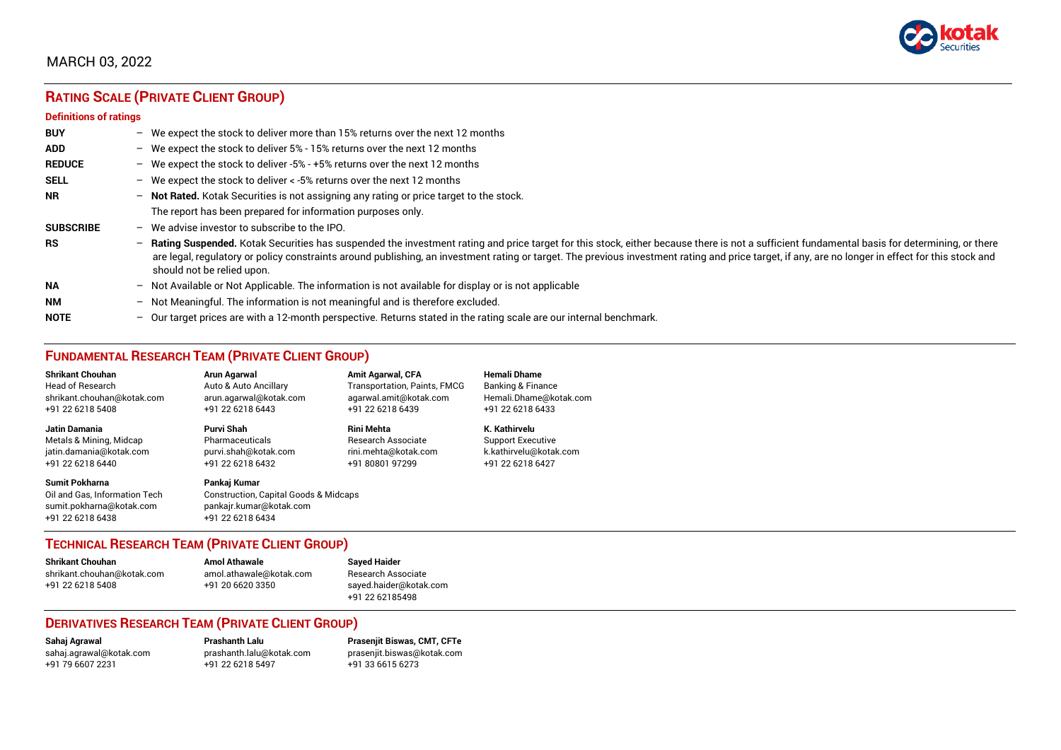

# **RATING SCALE (PRIVATE CLIENT GROUP)**

#### **Definitions of ratings**

| <b>BUY</b>       |                          | - We expect the stock to deliver more than 15% returns over the next 12 months                                                                                                                                                                                                                                                                                                                                                   |
|------------------|--------------------------|----------------------------------------------------------------------------------------------------------------------------------------------------------------------------------------------------------------------------------------------------------------------------------------------------------------------------------------------------------------------------------------------------------------------------------|
| <b>ADD</b>       |                          | - We expect the stock to deliver $5\%$ - 15% returns over the next 12 months                                                                                                                                                                                                                                                                                                                                                     |
| <b>REDUCE</b>    |                          | - We expect the stock to deliver -5% - +5% returns over the next 12 months                                                                                                                                                                                                                                                                                                                                                       |
| <b>SELL</b>      |                          | - We expect the stock to deliver $\lt$ -5% returns over the next 12 months                                                                                                                                                                                                                                                                                                                                                       |
| <b>NR</b>        |                          | - Not Rated. Kotak Securities is not assigning any rating or price target to the stock.                                                                                                                                                                                                                                                                                                                                          |
|                  |                          | The report has been prepared for information purposes only.                                                                                                                                                                                                                                                                                                                                                                      |
| <b>SUBSCRIBE</b> | $-$                      | We advise investor to subscribe to the IPO.                                                                                                                                                                                                                                                                                                                                                                                      |
| <b>RS</b>        | $\overline{\phantom{0}}$ | Rating Suspended. Kotak Securities has suspended the investment rating and price target for this stock, either because there is not a sufficient fundamental basis for determining, or there<br>are legal, regulatory or policy constraints around publishing, an investment rating or target. The previous investment rating and price target, if any, are no longer in effect for this stock and<br>should not be relied upon. |
| <b>NA</b>        |                          | $-$ Not Available or Not Applicable. The information is not available for display or is not applicable                                                                                                                                                                                                                                                                                                                           |
| <b>NM</b>        | $-$                      | Not Meaningful. The information is not meaningful and is therefore excluded.                                                                                                                                                                                                                                                                                                                                                     |
| <b>NOTE</b>      |                          | - Our target prices are with a 12-month perspective. Returns stated in the rating scale are our internal benchmark.                                                                                                                                                                                                                                                                                                              |

## **FUNDAMENTAL RESEARCH TEAM (PRIVATE CLIENT GROUP)**

| <b>Shrikant Chouhan</b>                                                                                | Arun Agarwal                                                                                                    | <b>Amit Agarwal, CFA</b>            | <b>Hemali Dhame</b>      |
|--------------------------------------------------------------------------------------------------------|-----------------------------------------------------------------------------------------------------------------|-------------------------------------|--------------------------|
| <b>Head of Research</b>                                                                                | Auto & Auto Ancillary                                                                                           | <b>Transportation, Paints, FMCG</b> | Banking & Finance        |
| shrikant.chouhan@kotak.com                                                                             | arun.agarwal@kotak.com                                                                                          | agarwal.amit@kotak.com              | Hemali.Dhame@kotak.com   |
| +91 22 6218 5408                                                                                       | +91 22 6218 6443                                                                                                | +91 22 6218 6439                    | +91 22 6218 6433         |
| Jatin Damania                                                                                          | Purvi Shah                                                                                                      | Rini Mehta                          | K. Kathirvelu            |
| Metals & Mining, Midcap                                                                                | Pharmaceuticals                                                                                                 | <b>Research Associate</b>           | <b>Support Executive</b> |
| jatin.damania@kotak.com                                                                                | purvi.shah@kotak.com                                                                                            | rini.mehta@kotak.com                | k.kathirvelu@kotak.com   |
| +91 22 6218 6440                                                                                       | +91 22 6218 6432                                                                                                | +91 80801 97299                     | +91 22 6218 6427         |
| <b>Sumit Pokharna</b><br>Oil and Gas, Information Tech<br>sumit.pokharna@kotak.com<br>+91 22 6218 6438 | Pankaj Kumar<br><b>Construction, Capital Goods &amp; Midcaps</b><br>pankajr.kumar@kotak.com<br>+91 22 6218 6434 |                                     |                          |

## **TECHNICAL RESEARCH TEAM (PRIVATE CLIENT GROUP)**

| <b>Shrikant Chouhan</b>    | <b>Amol Athawale</b>    |  |
|----------------------------|-------------------------|--|
| shrikant.chouhan@kotak.com | amol.athawale@kotak.com |  |
| +91 22 6218 5408           | +91 20 6620 3350        |  |
|                            |                         |  |

#### **Sayed Haider** Research Associate [sayed.haider@kotak.com](mailto:sayed.haider@kotak.com) +91 22 62185498

## **DERIVATIVES RESEARCH TEAM (PRIVATE CLIENT GROUP)**

+91 22 6218 5497 +91 33 6615 6273

**Sahaj Agrawal Prashanth Lalu Prasenjit Biswas, CMT, CFTe** [sahaj.agrawal@kotak.com](mailto:sahaj.agrawal@kotak.com) [prashanth.lalu@kotak.com](mailto:prashanth.lalu@kotak.com) [prasenjit.biswas@kotak.com](mailto:prasenjit.biswas@kotak.com)